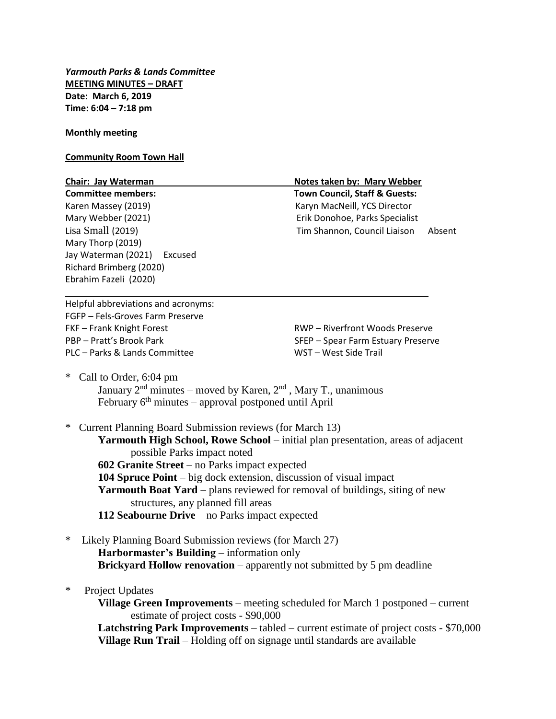*Yarmouth Parks & Lands Committee* **MEETING MINUTES – DRAFT Date: March 6, 2019 Time: 6:04 – 7:18 pm**

**Monthly meeting**

## **Community Room Town Hall**

## **Chair: Jay Waterman Notes taken by: Mary Webber**

Karen Massey (2019) Karyn MacNeill, YCS Director Mary Webber (2021) Erik Donohoe, Parks Specialist Mary Thorp (2019) Jay Waterman (2021) Excused Richard Brimberg (2020) Ebrahim Fazeli (2020)

**Committee members: Town Council, Staff & Guests:** Lisa Small (2019) Tim Shannon, Council Liaison Absent

Helpful abbreviations and acronyms: FGFP – Fels-Groves Farm Preserve FKF – Frank Knight Forest Entertainment RWP – Riverfront Woods Preserve PBP – Pratt's Brook Park SFEP – Spear Farm Estuary Preserve PLC – Parks & Lands Committee WST – West Side Trail

\* Call to Order, 6:04 pm

January  $2<sup>nd</sup>$  minutes – moved by Karen,  $2<sup>nd</sup>$ , Mary T., unanimous February  $6<sup>th</sup>$  minutes – approval postponed until April

\_\_\_\_\_\_\_\_\_\_\_\_\_\_\_\_\_\_\_\_\_\_\_\_\_\_\_\_\_\_\_\_\_\_\_\_\_\_\_\_\_\_\_\_\_\_\_\_\_\_\_\_\_\_\_\_\_\_\_\_\_\_\_\_\_\_\_\_\_\_\_\_\_

\* Current Planning Board Submission reviews (for March 13)

**Yarmouth High School, Rowe School** – initial plan presentation, areas of adjacent possible Parks impact noted **602 Granite Street** – no Parks impact expected

**104 Spruce Point** – big dock extension, discussion of visual impact

**Yarmouth Boat Yard** – plans reviewed for removal of buildings, siting of new structures, any planned fill areas

- **112 Seabourne Drive** no Parks impact expected
- Likely Planning Board Submission reviews (for March 27) **Harbormaster's Building** – information only **Brickyard Hollow renovation** – apparently not submitted by 5 pm deadline
- \* Project Updates

**Village Green Improvements** – meeting scheduled for March 1 postponed – current estimate of project costs - \$90,000

**Latchstring Park Improvements** – tabled – current estimate of project costs - \$70,000 **Village Run Trail** – Holding off on signage until standards are available